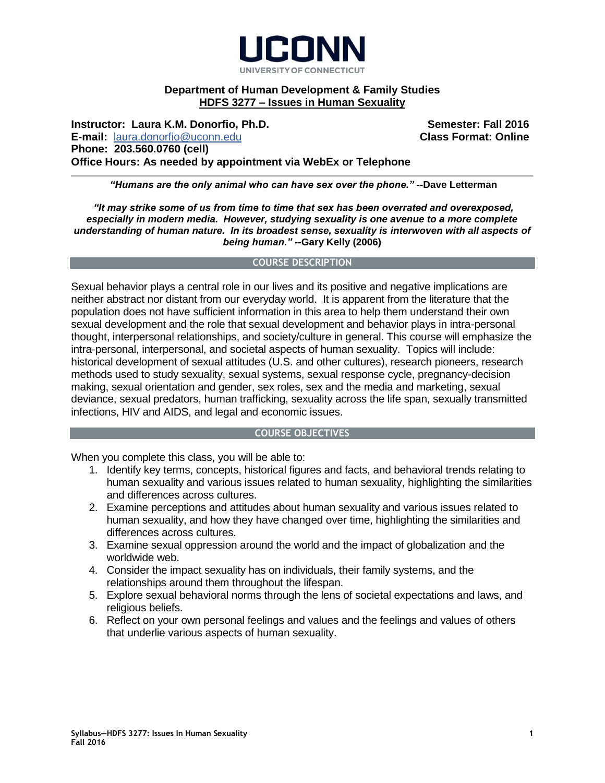

# **Department of Human Development & Family Studies HDFS 3277 – Issues in Human Sexuality**

**Instructor: Laura K.M. Donorfio, Ph.D. Semester: Fall 2016 Semester: Fall 2016 E-mail:** [laura.donorfio@uconn.edu](mailto:laura.donorfio@uconn.edu) **Class Format: Online Phone: 203.560.0760 (cell) Office Hours: As needed by appointment via WebEx or Telephone**

*"Humans are the only animal who can have sex over the phone." --***Dave Letterman**

*"It may strike some of us from time to time that sex has been overrated and overexposed, especially in modern media. However, studying sexuality is one avenue to a more complete understanding of human nature. In its broadest sense, sexuality is interwoven with all aspects of being human." --***Gary Kelly (2006)**

## **COURSE DESCRIPTION**

Sexual behavior plays a central role in our lives and its positive and negative implications are neither abstract nor distant from our everyday world. It is apparent from the literature that the population does not have sufficient information in this area to help them understand their own sexual development and the role that sexual development and behavior plays in intra-personal thought, interpersonal relationships, and society/culture in general. This course will emphasize the intra-personal, interpersonal, and societal aspects of human sexuality. Topics will include: historical development of sexual attitudes (U.S. and other cultures), research pioneers, research methods used to study sexuality, sexual systems, sexual response cycle, pregnancy-decision making, sexual orientation and gender, sex roles, sex and the media and marketing, sexual deviance, sexual predators, human trafficking, sexuality across the life span, sexually transmitted infections, HIV and AIDS, and legal and economic issues.

## **COURSE OBJECTIVES**

When you complete this class, you will be able to:

- 1. Identify key terms, concepts, historical figures and facts, and behavioral trends relating to human sexuality and various issues related to human sexuality, highlighting the similarities and differences across cultures.
- 2. Examine perceptions and attitudes about human sexuality and various issues related to human sexuality, and how they have changed over time, highlighting the similarities and differences across cultures.
- 3. Examine sexual oppression around the world and the impact of globalization and the worldwide web.
- 4. Consider the impact sexuality has on individuals, their family systems, and the relationships around them throughout the lifespan.
- 5. Explore sexual behavioral norms through the lens of societal expectations and laws, and religious beliefs.
- 6. Reflect on your own personal feelings and values and the feelings and values of others that underlie various aspects of human sexuality.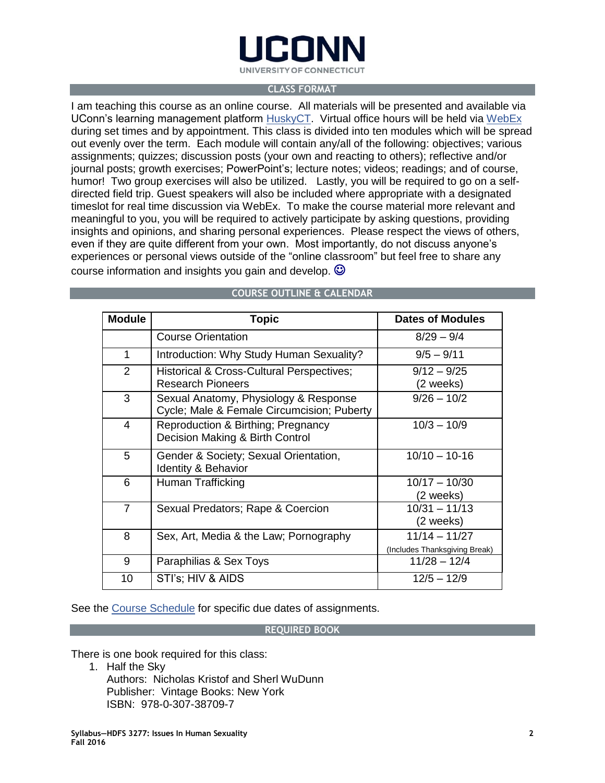

#### **CLASS FORMAT**

I am teaching this course as an online course. All materials will be presented and available via UConn's learning management platform [HuskyCT.](http://lms.uconn.edu/) Virtual office hours will be held via [WebEx](http://uits.uconn.edu/attending-a-webex-meeting/) during set times and by appointment. This class is divided into ten modules which will be spread out evenly over the term. Each module will contain any/all of the following: objectives; various assignments; quizzes; discussion posts (your own and reacting to others); reflective and/or journal posts; growth exercises; PowerPoint's; lecture notes; videos; readings; and of course, humor! Two group exercises will also be utilized. Lastly, you will be required to go on a selfdirected field trip. Guest speakers will also be included where appropriate with a designated timeslot for real time discussion via WebEx. To make the course material more relevant and meaningful to you, you will be required to actively participate by asking questions, providing insights and opinions, and sharing personal experiences. Please respect the views of others, even if they are quite different from your own. Most importantly, do not discuss anyone's experiences or personal views outside of the "online classroom" but feel free to share any course information and insights you gain and develop.  $\odot$ 

| <b>Module</b>  | <b>Topic</b>                                                                        | <b>Dates of Modules</b>                          |
|----------------|-------------------------------------------------------------------------------------|--------------------------------------------------|
|                | <b>Course Orientation</b>                                                           | $8/29 - 9/4$                                     |
| 1              | Introduction: Why Study Human Sexuality?                                            | $9/5 - 9/11$                                     |
| $\overline{2}$ | Historical & Cross-Cultural Perspectives;<br><b>Research Pioneers</b>               | $9/12 - 9/25$<br>(2 weeks)                       |
| 3              | Sexual Anatomy, Physiology & Response<br>Cycle; Male & Female Circumcision; Puberty | $9/26 - 10/2$                                    |
| 4              | Reproduction & Birthing; Pregnancy<br>Decision Making & Birth Control               | $10/3 - 10/9$                                    |
| 5              | Gender & Society; Sexual Orientation,<br><b>Identity &amp; Behavior</b>             | $10/10 - 10-16$                                  |
| 6              | Human Trafficking                                                                   | $10/17 - 10/30$<br>(2 weeks)                     |
| $\overline{7}$ | Sexual Predators; Rape & Coercion                                                   | $10/31 - 11/13$<br>(2 weeks)                     |
| 8              | Sex, Art, Media & the Law; Pornography                                              | $11/14 - 11/27$<br>(Includes Thanksgiving Break) |
| 9              | Paraphilias & Sex Toys                                                              | $11/28 - 12/4$                                   |
| 10             | STI's; HIV & AIDS                                                                   | $12/5 - 12/9$                                    |

# **COURSE OUTLINE & CALENDAR**

See the [Course Schedule](https://docs.google.com/a/uconn.edu/document/d/1DJb8y0shm52HwxC681i5nFeHiV3Q1CIDfeC3fO7342w/edit?usp=sharing) for specific due dates of assignments.

## **REQUIRED BOOK**

There is one book required for this class:

1. Half the Sky Authors: Nicholas Kristof and Sherl WuDunn Publisher: Vintage Books: New York ISBN: 978-0-307-38709-7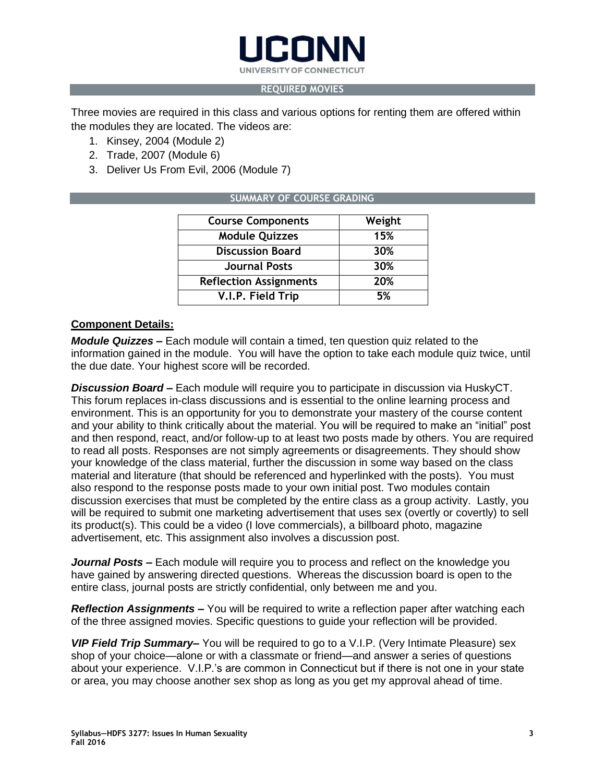

## **REQUIRED MOVIES**

Three movies are required in this class and various options for renting them are offered within the modules they are located. The videos are:

- 1. Kinsey, 2004 (Module 2)
- 2. Trade, 2007 (Module 6)
- 3. Deliver Us From Evil, 2006 (Module 7)

# **SUMMARY OF COURSE GRADING**

| <b>Course Components</b>      | Weight |
|-------------------------------|--------|
| <b>Module Quizzes</b>         | 15%    |
| <b>Discussion Board</b>       | 30%    |
| <b>Journal Posts</b>          | 30%    |
| <b>Reflection Assignments</b> | 20%    |
| V.I.P. Field Trip             | 5%     |

# **Component Details:**

*Module Quizzes* **–** Each module will contain a timed, ten question quiz related to the information gained in the module. You will have the option to take each module quiz twice, until the due date. Your highest score will be recorded.

*Discussion Board* **–** Each module will require you to participate in discussion via HuskyCT. This forum replaces in-class discussions and is essential to the online learning process and environment. This is an opportunity for you to demonstrate your mastery of the course content and your ability to think critically about the material. You will be required to make an "initial" post and then respond, react, and/or follow-up to at least two posts made by others. You are required to read all posts. Responses are not simply agreements or disagreements. They should show your knowledge of the class material, further the discussion in some way based on the class material and literature (that should be referenced and hyperlinked with the posts). You must also respond to the response posts made to your own initial post. Two modules contain discussion exercises that must be completed by the entire class as a group activity. Lastly, you will be required to submit one marketing advertisement that uses sex (overtly or covertly) to sell its product(s). This could be a video (I love commercials), a billboard photo, magazine advertisement, etc. This assignment also involves a discussion post.

*Journal Posts* **–** Each module will require you to process and reflect on the knowledge you have gained by answering directed questions. Whereas the discussion board is open to the entire class, journal posts are strictly confidential, only between me and you.

*Reflection Assignments* **–** You will be required to write a reflection paper after watching each of the three assigned movies. Specific questions to guide your reflection will be provided.

*VIP Field Trip Summary***–** You will be required to go to a V.I.P. (Very Intimate Pleasure) sex shop of your choice—alone or with a classmate or friend—and answer a series of questions about your experience. V.I.P.'s are common in Connecticut but if there is not one in your state or area, you may choose another sex shop as long as you get my approval ahead of time.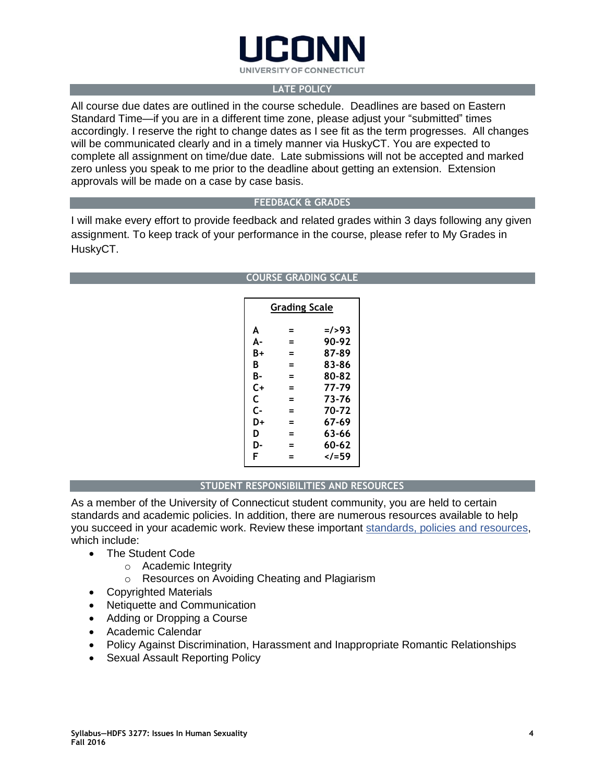

# **LATE POLICY**

All course due dates are outlined in the course schedule. Deadlines are based on Eastern Standard Time—if you are in a different time zone, please adjust your "submitted" times accordingly. I reserve the right to change dates as I see fit as the term progresses. All changes will be communicated clearly and in a timely manner via HuskyCT. You are expected to complete all assignment on time/due date. Late submissions will not be accepted and marked zero unless you speak to me prior to the deadline about getting an extension. Extension approvals will be made on a case by case basis.

# **FEEDBACK & GRADES**

I will make every effort to provide feedback and related grades within 3 days following any given assignment. To keep track of your performance in the course, please refer to My Grades in HuskyCT.

#### **COURSE GRADING SCALE**

| Grading Scale |   |          |  |  |
|---------------|---|----------|--|--|
| A             | = | $=$ />93 |  |  |
| А-            | = | 90-92    |  |  |
| B+            | = | 87-89    |  |  |
| B             | = | 83-86    |  |  |
| В-            | = | 80-82    |  |  |
| C+            | = | 77-79    |  |  |
| C             | = | 73-76    |  |  |
| C-            | = | 70-72    |  |  |
| D+            | = | 67-69    |  |  |
| D             | = | 63-66    |  |  |
| D-            | = | 60-62    |  |  |
| F             | = | =59</td  |  |  |

# **STUDENT RESPONSIBILITIES AND RESOURCES**

As a member of the University of Connecticut student community, you are held to certain standards and academic policies. In addition, there are numerous resources available to help you succeed in your academic work. Review these important [standards, policies and resources,](http://ecampus.uconn.edu/policies.html) which include:

- The Student Code
	- o Academic Integrity
	- o Resources on Avoiding Cheating and Plagiarism
- Copyrighted Materials
- Netiquette and Communication
- Adding or Dropping a Course
- Academic Calendar
- Policy Against Discrimination, Harassment and Inappropriate Romantic Relationships
- Sexual Assault Reporting Policy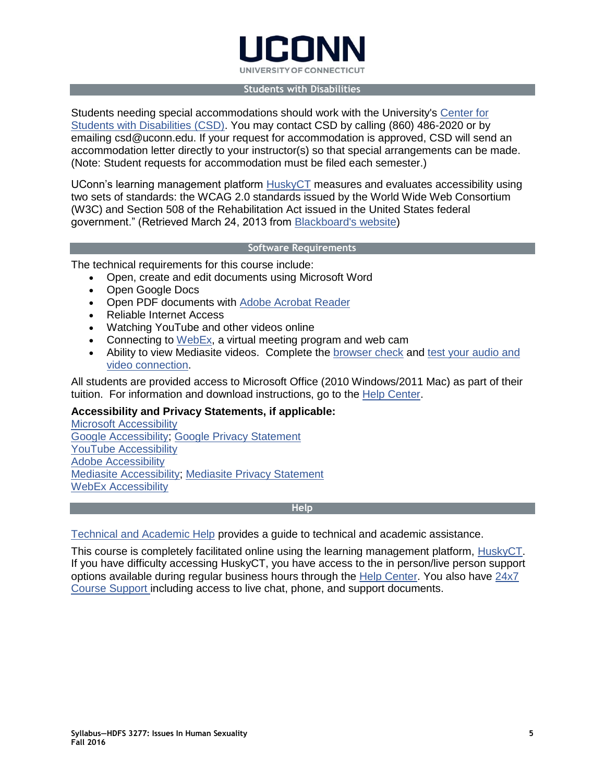

#### **Students with Disabilities**

Students needing special accommodations should work with the University's [Center for](http://csd.uconn.edu/)  [Students with Disabilities \(CSD\).](http://csd.uconn.edu/) You may contact CSD by calling (860) 486-2020 or by emailing csd@uconn.edu. If your request for accommodation is approved, CSD will send an accommodation letter directly to your instructor(s) so that special arrangements can be made. (Note: Student requests for accommodation must be filed each semester.)

UConn's learning management platform [HuskyCT](http://lms.uconn.edu/) measures and evaluates accessibility using two sets of standards: the WCAG 2.0 standards issued by the World Wide Web Consortium (W3C) and Section 508 of the Rehabilitation Act issued in the United States federal government." (Retrieved March 24, 2013 from [Blackboard's website\)](http://www.blackboard.com/platforms/learn/resources/accessibility.aspx)

## **Software Requirements**

The technical requirements for this course include:

- Open, create and edit documents using Microsoft Word
- Open Google Docs
- Open PDF documents with [Adobe Acrobat Reader](http://www.adobe.com/products/acrobat/readstep2.html)
- Reliable Internet Access
- Watching YouTube and other videos online
- Connecting to  $WebEx$ , a virtual meeting program and web cam
- Ability to view Mediasite videos. Complete the [browser check](https://support.sonicfoundry.com/Training/ViewingRequirements) and [test your audio and](http://events.mediasite.com/Mediasite/Play/6d6161cbf54a4e6fbcdcef116d0a2acc1d)  [video connection.](http://events.mediasite.com/Mediasite/Play/6d6161cbf54a4e6fbcdcef116d0a2acc1d)

All students are provided access to Microsoft Office (2010 Windows/2011 Mac) as part of their tuition. For information and download instructions, go to the [Help Center.](http://techtraining.uconn.edu/wp-content/uploads/sites/1305/2016/05/StudentITresourceguide.pdf)

# **Accessibility and Privacy Statements, if applicable:**

[Microsoft Accessibility](http://www.microsoft.com/enable/microsoft/mission.aspx) [Google Accessibility;](https://www.google.com/accessibility/all-products-features.html) [Google Privacy Statement](http://g.uconn.edu/core-services-policy/) [YouTube Accessibility](https://support.google.com/youtube/answer/189278?hl=en) [Adobe Accessibility](http://www.adobe.com/accessibility/products/reader.html) [Mediasite Accessibility;](http://www.sonicfoundry.com/wp-content/uploads/2015/10/Mediasite-7-x-Content-Accessibility.pdf) [Mediasite Privacy Statement](http://www.sonicfoundry.com/privacy-policy/) [WebEx Accessibility](http://www.cisco.com/web/about/responsibility/accessibility/downloads/vpats/VPAT-WebEx_Meeting_Center_WBS29.8_client.doc)

## **Help**

[Technical and Academic Help](http://ecampus.uconn.edu/help.html) provides a guide to technical and academic assistance.

This course is completely facilitated online using the learning management platform, [HuskyCT.](http://huskyct.uconn.edu/) If you have difficulty accessing HuskyCT, you have access to the in person/live person support options available during regular business hours through the [Help Center.](http://helpcenter.uconn.edu/) You also have [24x7](http://www.ecampus24x7.uconn.edu/)  [Course Support](http://www.ecampus24x7.uconn.edu/) including access to live chat, phone, and support documents.